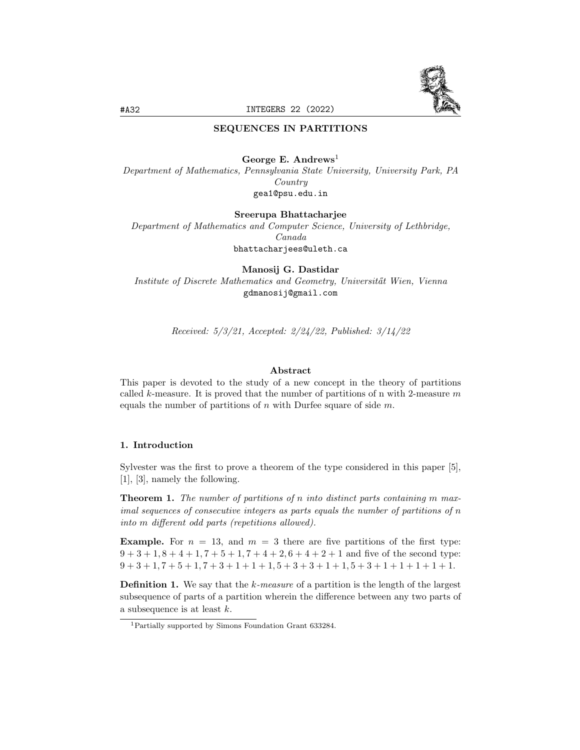

### SEQUENCES IN PARTITIONS

#### George E. Andrews<sup>1</sup>

Department of Mathematics, Pennsylvania State University, University Park, PA Country gea1@psu.edu.in

Sreerupa Bhattacharjee

Department of Mathematics and Computer Science, University of Lethbridge, Canada bhattacharjees@uleth.ca

Manosij G. Dastidar

Institute of Discrete Mathematics and Geometry, Universität Wien, Vienna gdmanosij@gmail.com

Received: 5/3/21, Accepted: 2/24/22, Published: 3/14/22

## Abstract

This paper is devoted to the study of a new concept in the theory of partitions called k-measure. It is proved that the number of partitions of n with 2-measure  $m$ equals the number of partitions of  $n$  with Durfee square of side  $m$ .

### 1. Introduction

Sylvester was the first to prove a theorem of the type considered in this paper [5], [1], [3], namely the following.

**Theorem 1.** The number of partitions of n into distinct parts containing m maximal sequences of consecutive integers as parts equals the number of partitions of n into m different odd parts (repetitions allowed).

**Example.** For  $n = 13$ , and  $m = 3$  there are five partitions of the first type:  $9 + 3 + 1, 8 + 4 + 1, 7 + 5 + 1, 7 + 4 + 2, 6 + 4 + 2 + 1$  and five of the second type:  $9 + 3 + 1, 7 + 5 + 1, 7 + 3 + 1 + 1 + 1, 5 + 3 + 3 + 1 + 1, 5 + 3 + 1 + 1 + 1 + 1 + 1.$ 

**Definition 1.** We say that the  $k$ -measure of a partition is the length of the largest subsequence of parts of a partition wherein the difference between any two parts of a subsequence is at least k.

<sup>1</sup>Partially supported by Simons Foundation Grant 633284.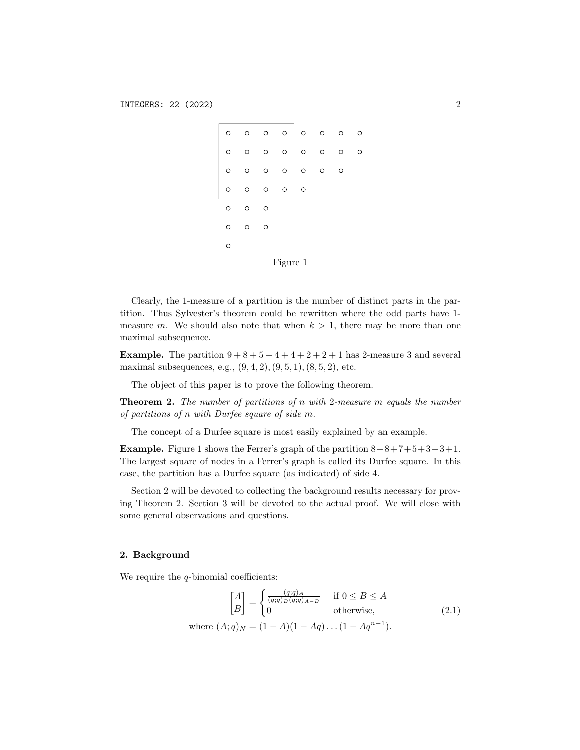|          |   |  |   | $\circ$ |   |  |  |  |
|----------|---|--|---|---------|---|--|--|--|
|          |   |  |   | $\circ$ |   |  |  |  |
|          |   |  |   | $\circ$ |   |  |  |  |
|          |   |  |   | $\circ$ | O |  |  |  |
|          | O |  | Ω |         |   |  |  |  |
|          | Ω |  |   |         |   |  |  |  |
|          | ∩ |  |   |         |   |  |  |  |
| Figure 1 |   |  |   |         |   |  |  |  |

Clearly, the 1-measure of a partition is the number of distinct parts in the partition. Thus Sylvester's theorem could be rewritten where the odd parts have 1 measure m. We should also note that when  $k > 1$ , there may be more than one maximal subsequence.

**Example.** The partition  $9+8+5+4+4+2+2+1$  has 2-measure 3 and several maximal subsequences, e.g.,  $(9, 4, 2), (9, 5, 1), (8, 5, 2),$  etc.

The object of this paper is to prove the following theorem.

**Theorem 2.** The number of partitions of n with 2-measure m equals the number of partitions of n with Durfee square of side m.

The concept of a Durfee square is most easily explained by an example.

**Example.** Figure 1 shows the Ferrer's graph of the partition  $8+8+7+5+3+3+1$ . The largest square of nodes in a Ferrer's graph is called its Durfee square. In this case, the partition has a Durfee square (as indicated) of side 4.

Section 2 will be devoted to collecting the background results necessary for proving Theorem 2. Section 3 will be devoted to the actual proof. We will close with some general observations and questions.

#### 2. Background

We require the  $q$ -binomial coefficients:

$$
\begin{bmatrix} A \\ B \end{bmatrix} = \begin{cases} \frac{(q;q)_A}{(q;q)_B(q;q)_{A-B}} & \text{if } 0 \le B \le A \\ 0 & \text{otherwise,} \end{cases} \tag{2.1}
$$
\n
$$
\text{where } (A;q)_N = (1-A)(1-Aq)\dots(1-Aq^{n-1}).
$$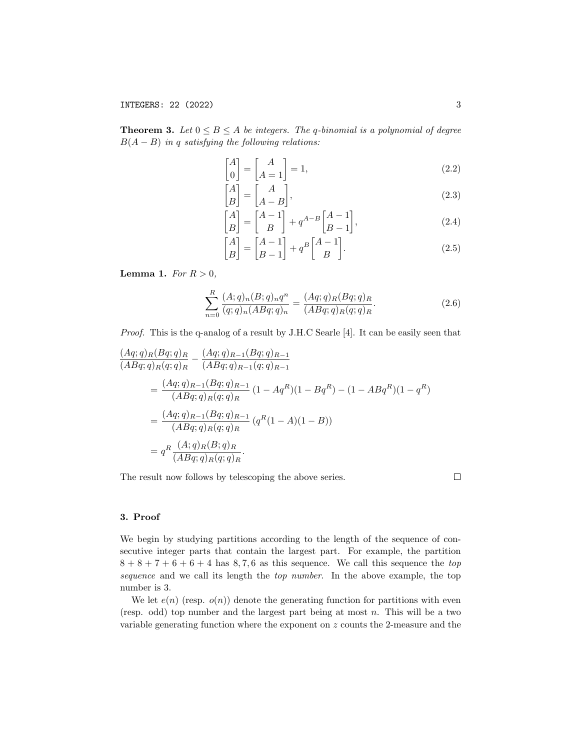**Theorem 3.** Let  $0 \leq B \leq A$  be integers. The q-binomial is a polynomial of degree  $B(A - B)$  in q satisfying the following relations:

$$
\begin{bmatrix} A \\ 0 \end{bmatrix} = \begin{bmatrix} A \\ A = 1 \end{bmatrix} = 1,
$$
\n(2.2)

$$
\begin{bmatrix} A \\ B \end{bmatrix} = \begin{bmatrix} A \\ A - B \end{bmatrix},\tag{2.3}
$$

$$
\begin{bmatrix} A \\ B \end{bmatrix} = \begin{bmatrix} A - 1 \\ B \end{bmatrix} + q^{A - B} \begin{bmatrix} A - 1 \\ B - 1 \end{bmatrix},
$$
\n(2.4)

$$
\begin{bmatrix} A \\ B \end{bmatrix} = \begin{bmatrix} A - 1 \\ B - 1 \end{bmatrix} + q^B \begin{bmatrix} A - 1 \\ B \end{bmatrix}.
$$
 (2.5)

Lemma 1. For  $R > 0$ ,

$$
\sum_{n=0}^{R} \frac{(A;q)_n (B;q)_n q^n}{(q;q)_n (ABq;q)_n} = \frac{(Aq;q)_R (Bq;q)_R}{(ABq;q)_R (q;q)_R}.
$$
\n(2.6)

Proof. This is the q-analog of a result by J.H.C Searle [4]. It can be easily seen that

$$
\frac{(Aq;q)_R(Bq;q)_R}{(ABq;q)_R(q;q)_R} - \frac{(Aq;q)_{R-1}(Bq;q)_{R-1}}{(ABq;q)_{R-1}(q;q)_{R-1}} \n= \frac{(Aq;q)_{R-1}(Bq;q)_{R-1}}{(ABq;q)_R(q;q)_R} (1 - Aq^R)(1 - Bq^R) - (1 - ABq^R)(1 - q^R) \n= \frac{(Aq;q)_{R-1}(Bq;q)_{R-1}}{(ABq;q)_R(q;q)_R} (q^R(1-A)(1-B)) \n= q^R \frac{(A;q)_R(B;q)_R}{(ABq;q)_R(q;q)_R}.
$$

The result now follows by telescoping the above series.

 $\Box$ 

## 3. Proof

We begin by studying partitions according to the length of the sequence of consecutive integer parts that contain the largest part. For example, the partition  $8 + 8 + 7 + 6 + 6 + 4$  has 8,7,6 as this sequence. We call this sequence the top sequence and we call its length the *top number*. In the above example, the top number is 3.

We let  $e(n)$  (resp.  $o(n)$ ) denote the generating function for partitions with even (resp. odd) top number and the largest part being at most  $n$ . This will be a two variable generating function where the exponent on z counts the 2-measure and the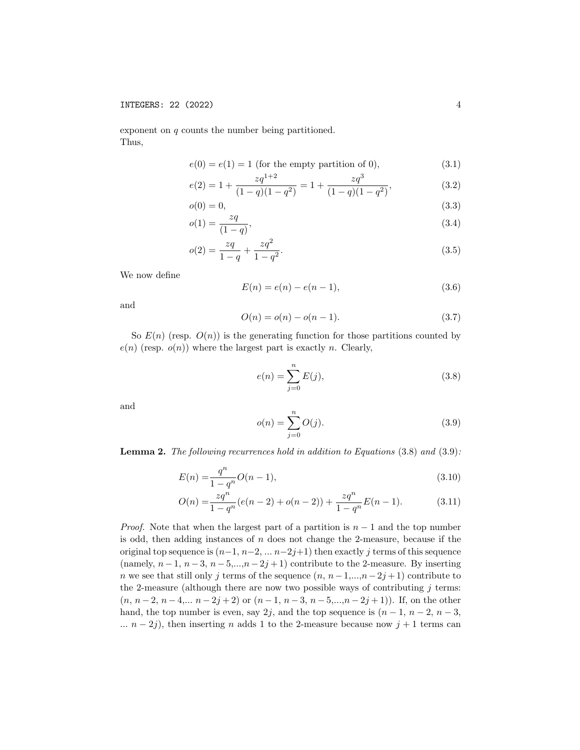#### INTEGERS: 22 (2022) 4

exponent on q counts the number being partitioned. Thus,

$$
e(0) = e(1) = 1 \text{ (for the empty partition of 0),}
$$
\n
$$
(3.1)
$$

$$
e(2) = 1 + \frac{zq^{1+2}}{(1-q)(1-q^2)} = 1 + \frac{zq^3}{(1-q)(1-q^2)},
$$
\n(3.2)

$$
o(0) = 0,\tag{3.3}
$$

$$
o(1) = \frac{zq}{(1-q)},\tag{3.4}
$$

$$
o(2) = \frac{zq}{1-q} + \frac{zq^2}{1-q^2}.
$$
\n(3.5)

We now define

$$
E(n) = e(n) - e(n-1),
$$
\n(3.6)

and

$$
O(n) = o(n) - o(n-1).
$$
\n(3.7)

So  $E(n)$  (resp.  $O(n)$ ) is the generating function for those partitions counted by  $e(n)$  (resp.  $o(n)$ ) where the largest part is exactly n. Clearly,

$$
e(n) = \sum_{j=0}^{n} E(j),
$$
\n(3.8)

and

$$
o(n) = \sum_{j=0}^{n} O(j).
$$
 (3.9)

**Lemma 2.** The following recurrences hold in addition to Equations  $(3.8)$  and  $(3.9)$ :

$$
E(n) = \frac{q^n}{1 - q^n} O(n - 1),
$$
\n(3.10)

$$
O(n) = \frac{zq^n}{1 - q^n} (e(n-2) + o(n-2)) + \frac{zq^n}{1 - q^n} E(n-1).
$$
 (3.11)

*Proof.* Note that when the largest part of a partition is  $n - 1$  and the top number is odd, then adding instances of  $n$  does not change the 2-measure, because if the original top sequence is  $(n-1, n-2, \ldots n-2j+1)$  then exactly j terms of this sequence (namely,  $n-1$ ,  $n-3$ ,  $n-5$ ,..., $n-2j+1$ ) contribute to the 2-measure. By inserting n we see that still only j terms of the sequence  $(n, n-1, ..., n-2j+1)$  contribute to the 2-measure (although there are now two possible ways of contributing  $j$  terms:  $(n, n-2, n-4,... n-2j+2)$  or  $(n-1, n-3, n-5,...,n-2j+1)$ . If, on the other hand, the top number is even, say 2j, and the top sequence is  $(n-1, n-2, n-3,$ ...  $n - 2j$ ), then inserting n adds 1 to the 2-measure because now  $j + 1$  terms can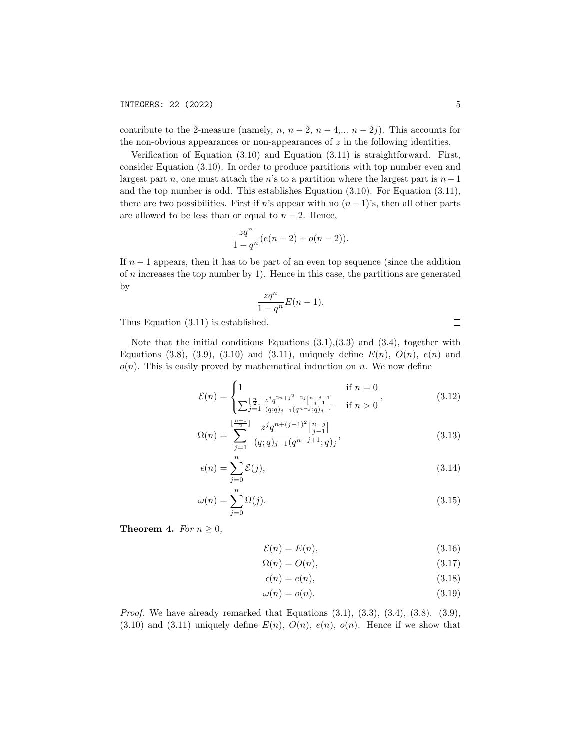contribute to the 2-measure (namely,  $n, n-2, n-4,... n-2j$ ). This accounts for the non-obvious appearances or non-appearances of  $z$  in the following identities.

Verification of Equation (3.10) and Equation (3.11) is straightforward. First, consider Equation (3.10). In order to produce partitions with top number even and largest part n, one must attach the n's to a partition where the largest part is  $n-1$ and the top number is odd. This establishes Equation (3.10). For Equation (3.11), there are two possibilities. First if n's appear with no  $(n-1)$ 's, then all other parts are allowed to be less than or equal to  $n-2$ . Hence,

$$
\frac{zq^n}{1-q^n}(e(n-2) + o(n-2)).
$$

If  $n-1$  appears, then it has to be part of an even top sequence (since the addition of  $n$  increases the top number by 1). Hence in this case, the partitions are generated by

$$
\frac{zq^n}{1-q^n}E(n-1).
$$

Thus Equation (3.11) is established.

Note that the initial conditions Equations  $(3.1),(3.3)$  and  $(3.4)$ , together with Equations (3.8), (3.9), (3.10) and (3.11), uniquely define  $E(n)$ ,  $O(n)$ ,  $e(n)$  and  $o(n)$ . This is easily proved by mathematical induction on n. We now define

$$
\mathcal{E}(n) = \begin{cases} 1 & \text{if } n = 0\\ \sum_{j=1}^{\lfloor \frac{n}{2} \rfloor} \frac{z^j q^{2n+j^2-2j} {n-j-1 \choose j-1}}{(q;q)_{j-1} (q^{n-j};q)_{j+1}} & \text{if } n > 0 \end{cases}
$$
(3.12)

$$
\Omega(n) = \sum_{j=1}^{\lfloor \frac{n+1}{2} \rfloor} \frac{z^j q^{n+(j-1)^2} {n-j \choose j-1}}{(q;q)_{j-1} (q^{n-j+1};q)_j},\tag{3.13}
$$

$$
\epsilon(n) = \sum_{j=0}^{n} \mathcal{E}(j),\tag{3.14}
$$

$$
\omega(n) = \sum_{j=0}^{n} \Omega(j). \tag{3.15}
$$

**Theorem 4.** For  $n \geq 0$ ,

$$
\mathcal{E}(n) = E(n),\tag{3.16}
$$

$$
\Omega(n) = O(n),\tag{3.17}
$$

$$
\epsilon(n) = e(n),\tag{3.18}
$$

$$
\omega(n) = o(n). \tag{3.19}
$$

*Proof.* We have already remarked that Equations  $(3.1), (3.3), (3.4), (3.8), (3.9),$  $(3.10)$  and  $(3.11)$  uniquely define  $E(n)$ ,  $O(n)$ ,  $e(n)$ ,  $o(n)$ . Hence if we show that

 $\Box$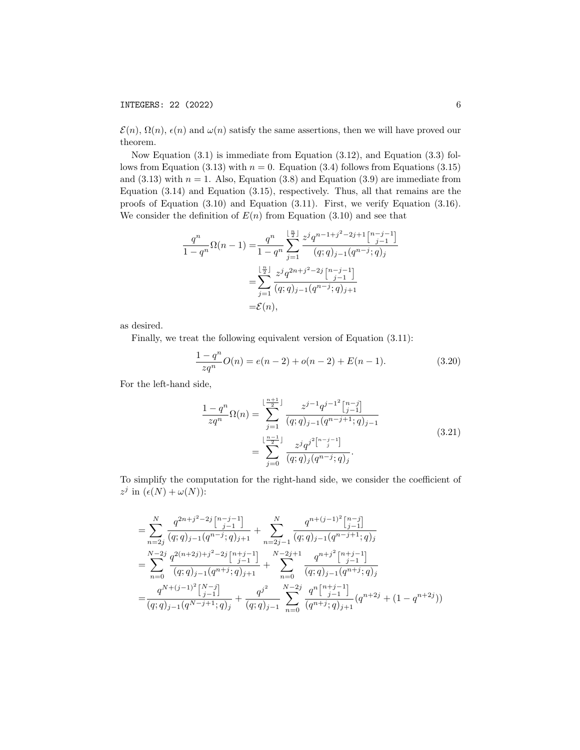# INTEGERS: 22 (2022) 6

 $\mathcal{E}(n)$ ,  $\Omega(n)$ ,  $\epsilon(n)$  and  $\omega(n)$  satisfy the same assertions, then we will have proved our theorem.

Now Equation (3.1) is immediate from Equation (3.12), and Equation (3.3) follows from Equation (3.13) with  $n = 0$ . Equation (3.4) follows from Equations (3.15) and  $(3.13)$  with  $n = 1$ . Also, Equation  $(3.8)$  and Equation  $(3.9)$  are immediate from Equation (3.14) and Equation (3.15), respectively. Thus, all that remains are the proofs of Equation (3.10) and Equation (3.11). First, we verify Equation (3.16). We consider the definition of  $E(n)$  from Equation (3.10) and see that

$$
\frac{q^n}{1-q^n} \Omega(n-1) = \frac{q^n}{1-q^n} \sum_{j=1}^{\lfloor \frac{n}{2} \rfloor} \frac{z^j q^{n-1+j^2-2j+1} {n-j-1 \choose j-1}}{(q;q)_{j-1} (q^{n-j};q)_j}
$$

$$
= \sum_{j=1}^{\lfloor \frac{n}{2} \rfloor} \frac{z^j q^{2n+j^2-2j} {n-j-1 \choose j-1}}{(q;q)_{j-1} (q^{n-j};q)_{j+1}}
$$

$$
= \mathcal{E}(n),
$$

as desired.

Finally, we treat the following equivalent version of Equation (3.11):

$$
\frac{1-q^n}{zq^n}O(n) = e(n-2) + o(n-2) + E(n-1).
$$
 (3.20)

For the left-hand side,

$$
\frac{1-q^n}{zq^n}\Omega(n) = \sum_{j=1}^{\lfloor \frac{n+1}{2} \rfloor} \frac{z^{j-1}q^{j-1} \binom{n-j}{j-1}}{(q;q)_{j-1}(q^{n-j+1};q)_{j-1}}
$$
\n
$$
= \sum_{j=0}^{\lfloor \frac{n-1}{2} \rfloor} \frac{z^j q^{j^2 \binom{n-j-1}{j}}}{(q;q)_j(q^{n-j};q)_j}.
$$
\n(3.21)

To simplify the computation for the right-hand side, we consider the coefficient of  $z^j$  in  $(\epsilon(N) + \omega(N))$ :

$$
= \sum_{n=2j}^{N} \frac{q^{2n+j^2-2j} {n-j \choose j-1}}{(q;q)_{j-1} (q^{n-j};q)_{j+1}} + \sum_{n=2j-1}^{N} \frac{q^{n+(j-1)^2} {n-j \choose j-1}}{(q;q)_{j-1} (q^{n-j};q)_j}
$$
  

$$
= \sum_{n=0}^{N-2j} \frac{q^{2(n+2j)+j^2-2j} {n+j \choose j-1}}{(q;q)_{j-1} (q^{n+j};q)_{j+1}} + \sum_{n=0}^{N-2j+1} \frac{q^{n+j^2} {n+j \choose j-1}}{(q;q)_{j-1} (q^{n+j};q)_j}
$$
  

$$
= \frac{q^{N+(j-1)^2} {n-j \choose j-1}}{(q;q)_{j-1} (q^{N-j+1};q)_j} + \frac{q^{j^2}}{(q;q)_{j-1}} \sum_{n=0}^{N-2j} \frac{q^{n} {n+j \choose j-1}}{(q^{n+j};q)_{j+1}}(q^{n+2j}+ (1-q^{n+2j}))
$$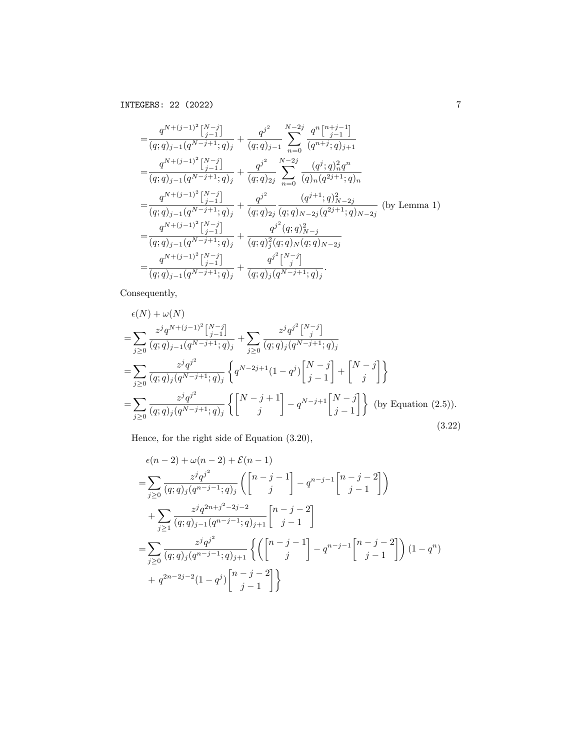$$
\begin{split}\n&= \frac{q^{N+(j-1)^2} \left[\begin{matrix} N-j \end{matrix}\right]}{(q;q)_{j-1}(q^{N-j+1};q)_j} + \frac{q^{j^2}}{(q;q)_{j-1}} \sum_{n=0}^{N-2j} \frac{q^n \left[\begin{matrix} n+j-1 \end{matrix}\right]}{(q^{n+j};q)_{j+1}} \\
&= \frac{q^{N+(j-1)^2} \left[\begin{matrix} N-j \end{matrix}\right]}{(q;q)_{j-1}(q^{N-j+1};q)_j} + \frac{q^{j^2}}{(q;q)_{2j}} \sum_{n=0}^{N-2j} \frac{(q^j;q)_n^2 q^n}{(q)_n (q^{2j+1};q)_n} \\
&= \frac{q^{N+(j-1)^2} \left[\begin{matrix} N-j \end{matrix}\right]}{(q;q)_{j-1}(q^{N-j+1};q)_j} + \frac{q^{j^2}}{(q;q)_{2j}} \frac{(q^{j+1};q)_n^2}{(q;q)_{N-2j}(q^{2j+1};q)_{N-2j}} \text{ (by Lemma 1)} \\
&= \frac{q^{N+(j-1)^2} \left[\begin{matrix} N-j \end{matrix}\right]}{(q;q)_{j-1}(q^{N-j+1};q)_j} + \frac{q^{j^2}(q;q)_{N-j}}{(q;q)_j^2(q;q)_N(q;q)_{N-2j}} \\
&= \frac{q^{N+(j-1)^2} \left[\begin{matrix} N-j \end{matrix}\right]}{(q;q)_{j-1}(q^{N-j+1};q)_j} + \frac{q^{j^2} \left[\begin{matrix} N-j \end{matrix}\right]}{(q;q)_j(q^{N-j+1};q)_j}.\n\end{split}
$$

Consequently,

$$
\epsilon(N) + \omega(N)
$$
\n
$$
= \sum_{j\geq 0} \frac{z^j q^{N+(j-1)^2} \left[\frac{N-j}{j-1}\right]}{(q;q)_{j-1}(q^{N-j+1};q)_j} + \sum_{j\geq 0} \frac{z^j q^{j^2} \left[\frac{N-j}{j}\right]}{(q;q)_j(q^{N-j+1};q)_j}
$$
\n
$$
= \sum_{j\geq 0} \frac{z^j q^{j^2}}{(q;q)_j(q^{N-j+1};q)_j} \left\{ q^{N-2j+1} (1-q^j) \left[\frac{N-j}{j-1}\right] + \left[\frac{N-j}{j}\right] \right\}
$$
\n
$$
= \sum_{j\geq 0} \frac{z^j q^{j^2}}{(q;q)_j(q^{N-j+1};q)_j} \left\{ \left[\frac{N-j+1}{j}\right] - q^{N-j+1} \left[\frac{N-j}{j-1}\right] \right\} \text{ (by Equation (2.5))}.
$$
\n(3.22)

Hence, for the right side of Equation (3.20),

$$
\epsilon(n-2) + \omega(n-2) + \mathcal{E}(n-1)
$$
\n
$$
= \sum_{j\geq 0} \frac{z^j q^{j^2}}{(q;q)_j (q^{n-j-1};q)_j} \left( \begin{bmatrix} n-j-1 \\ j \end{bmatrix} - q^{n-j-1} \begin{bmatrix} n-j-2 \\ j-1 \end{bmatrix} \right)
$$
\n
$$
+ \sum_{j\geq 1} \frac{z^j q^{2n+j^2-2j-2}}{(q;q)_{j-1} (q^{n-j-1};q)_{j+1}} \begin{bmatrix} n-j-2 \\ j-1 \end{bmatrix}
$$
\n
$$
= \sum_{j\geq 0} \frac{z^j q^{j^2}}{(q;q)_j (q^{n-j-1};q)_{j+1}} \left\{ \left( \begin{bmatrix} n-j-1 \\ j \end{bmatrix} - q^{n-j-1} \begin{bmatrix} n-j-2 \\ j-1 \end{bmatrix} \right) (1-q^n) + q^{2n-2j-2} (1-q^j) \begin{bmatrix} n-j-2 \\ j-1 \end{bmatrix} \right\}
$$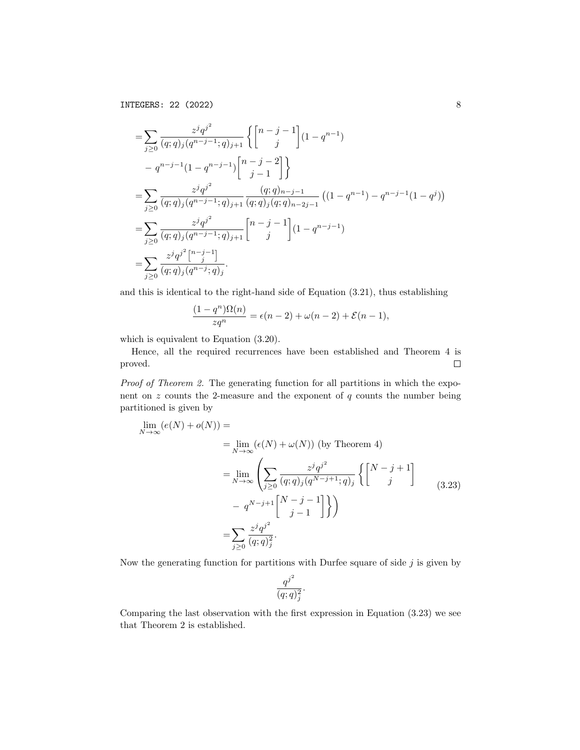$\overline{2}$ 

$$
= \sum_{j\geq 0} \frac{z^j q^{j^2}}{(q;q)_j (q^{n-j-1};q)_{j+1}} \left\{ \begin{bmatrix} n-j-1 \ j \end{bmatrix} (1-q^{n-1}) - q^{n-j-1} (1-q^{n-j-1}) \begin{bmatrix} n-j-2 \ j-1 \end{bmatrix} \right\}
$$
  
\n
$$
= \sum_{j\geq 0} \frac{z^j q^{j^2}}{(q;q)_j (q^{n-j-1};q)_{j+1}} \frac{(q;q)_{n-j-1}}{(q;q)_j (q;q)_{n-2j-1}} ((1-q^{n-1}) - q^{n-j-1} (1-q^j))
$$
  
\n
$$
= \sum_{j\geq 0} \frac{z^j q^{j^2}}{(q;q)_j (q^{n-j-1};q)_{j+1}} \begin{bmatrix} n-j-1 \ j \end{bmatrix} (1-q^{n-j-1})
$$
  
\n
$$
= \sum_{j\geq 0} \frac{z^j q^{j^2} [n-j-1]}{(q;q)_j (q^{n-j};q)_j}.
$$

and this is identical to the right-hand side of Equation (3.21), thus establishing

$$
\frac{(1-q^n)\Omega(n)}{zq^n} = \epsilon(n-2) + \omega(n-2) + \mathcal{E}(n-1),
$$

which is equivalent to Equation (3.20).

Hence, all the required recurrences have been established and Theorem 4 is proved.  $\Box$ 

Proof of Theorem 2. The generating function for all partitions in which the exponent on  $z$  counts the 2-measure and the exponent of  $q$  counts the number being partitioned is given by

$$
\lim_{N \to \infty} (e(N) + o(N)) =
$$
\n
$$
= \lim_{N \to \infty} (\epsilon(N) + \omega(N)) \text{ (by Theorem 4)}
$$
\n
$$
= \lim_{N \to \infty} \left( \sum_{j \ge 0} \frac{z^j q^{j^2}}{(q;q)_j (q^{N-j+1};q)_j} \left\{ \begin{bmatrix} N-j+1 \\ j \end{bmatrix} \right\} - q^{N-j+1} \begin{bmatrix} N-j-1 \\ j-1 \end{bmatrix} \right\}
$$
\n
$$
= \sum_{j \ge 0} \frac{z^j q^{j^2}}{(q;q)_j^2}.
$$
\n(3.23)

Now the generating function for partitions with Durfee square of side  $j$  is given by

$$
\frac{q^{j^2}}{(q;q)_j^2}.
$$

Comparing the last observation with the first expression in Equation (3.23) we see that Theorem 2 is established.